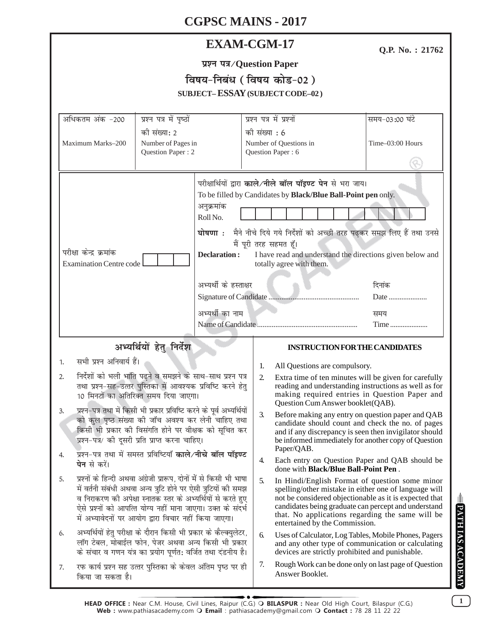# **CGPSC MAINS - 2017**

| <b>EXAM-CGM-17</b> |  |
|--------------------|--|
|--------------------|--|

Q.P. No.: 21762

| प्रश्न पत्र/Question Paper             |
|----------------------------------------|
| विषय-निबंध (विषय कोड-02)               |
| <b>SUBJECT-ESSAY (SUBJECT CODE-02)</b> |

|                                                                                                                                                                                                                                                                                                                                                                                                                             |                                                             |                                                                                                                                                                                                                                                                                                                                                                                 |                                                              | <b>SUBJECT-ESSAY (SUBJECT CODE-02)</b>                                                                                                                                                                                                                                                                          |                                                                                                                                                                                                                      |  |
|-----------------------------------------------------------------------------------------------------------------------------------------------------------------------------------------------------------------------------------------------------------------------------------------------------------------------------------------------------------------------------------------------------------------------------|-------------------------------------------------------------|---------------------------------------------------------------------------------------------------------------------------------------------------------------------------------------------------------------------------------------------------------------------------------------------------------------------------------------------------------------------------------|--------------------------------------------------------------|-----------------------------------------------------------------------------------------------------------------------------------------------------------------------------------------------------------------------------------------------------------------------------------------------------------------|----------------------------------------------------------------------------------------------------------------------------------------------------------------------------------------------------------------------|--|
| अधिकतम अंक -200                                                                                                                                                                                                                                                                                                                                                                                                             | प्रश्न पत्र में पृष्ठों                                     |                                                                                                                                                                                                                                                                                                                                                                                 |                                                              | प्रश्न पत्र में प्रश्नों                                                                                                                                                                                                                                                                                        | समय-03:00 घंटे                                                                                                                                                                                                       |  |
| Maximum Marks-200                                                                                                                                                                                                                                                                                                                                                                                                           | की संख्या: 2<br>Number of Pages in<br>Question Paper: 2     |                                                                                                                                                                                                                                                                                                                                                                                 | की संख्या : 6<br>Number of Questions in<br>Question Paper: 6 |                                                                                                                                                                                                                                                                                                                 | Time-03:00 Hours                                                                                                                                                                                                     |  |
| परीक्षा केन्द्र क्रमांक<br><b>Examination Centre code</b>                                                                                                                                                                                                                                                                                                                                                                   |                                                             | परीक्षार्थियों द्वारा काले/नीले बॉल पॉइण्ट पेन से भरा जाय।<br>To be filled by Candidates by Black/Blue Ball-Point pen only.<br>अनुक्रमांक<br>Roll No.<br>घोषणा : मैने नीचे दिये गये निर्देशों को अच्छी तरह पढ़कर समझ लिए हैं तथा उनसे<br>मैं पूरी तरह सहमत हूँ।<br><b>Declaration:</b><br>I have read and understand the directions given below and<br>totally agree with them. |                                                              |                                                                                                                                                                                                                                                                                                                 |                                                                                                                                                                                                                      |  |
| अभ्यर्थी के हस्ताक्षर                                                                                                                                                                                                                                                                                                                                                                                                       |                                                             |                                                                                                                                                                                                                                                                                                                                                                                 |                                                              |                                                                                                                                                                                                                                                                                                                 | दिनांक<br>Date                                                                                                                                                                                                       |  |
|                                                                                                                                                                                                                                                                                                                                                                                                                             |                                                             | अभ्यर्थी का नाम                                                                                                                                                                                                                                                                                                                                                                 |                                                              |                                                                                                                                                                                                                                                                                                                 | समय<br>Time                                                                                                                                                                                                          |  |
|                                                                                                                                                                                                                                                                                                                                                                                                                             | अभ्यर्थियों हेतु निर्देश                                    |                                                                                                                                                                                                                                                                                                                                                                                 |                                                              | <b>INSTRUCTION FOR THE CANDIDATES</b>                                                                                                                                                                                                                                                                           |                                                                                                                                                                                                                      |  |
| सभी प्रश्न अनिवार्य हैं।<br>1.                                                                                                                                                                                                                                                                                                                                                                                              |                                                             |                                                                                                                                                                                                                                                                                                                                                                                 | 1.                                                           | All Questions are compulsory.                                                                                                                                                                                                                                                                                   |                                                                                                                                                                                                                      |  |
| निर्देशों को भली भांति पढ़ने व समझने के साथ-साथ प्रश्न पत्र<br>2.<br>तथा प्रश्न-सह-उत्तर पुस्तिका में आवश्यक प्रविष्टि करने हेतु<br>10 मिनटों का अतिरिक्त समय दिया जाएगा।<br>प्रश्न-पत्र तथा में किसी भी प्रकार प्रविष्टि करने के पूर्व अभ्यर्थियों<br>3.<br>को कुल पृष्ठ संख्या की जाँच अवश्य कर लेनी चाहिए तथा<br>किसी भी प्रकार की विसंगति होने पर वीक्षक को सूचित कर<br>प्रश्न-पत्र/ की दूसरी प्रति प्राप्त करना चाहिए। |                                                             |                                                                                                                                                                                                                                                                                                                                                                                 | 2.<br>3.                                                     | Question Cum Answer booklet(QAB).                                                                                                                                                                                                                                                                               | Extra time of ten minutes will be given for carefully<br>reading and understanding instructions as well as for<br>making required entries in Question Paper and<br>Before making any entry on question paper and QAB |  |
|                                                                                                                                                                                                                                                                                                                                                                                                                             |                                                             |                                                                                                                                                                                                                                                                                                                                                                                 |                                                              | Paper/QAB.                                                                                                                                                                                                                                                                                                      | candidate should count and check the no. of pages<br>and if any discrepancy is seen then invigilator should<br>be informed immediately for another copy of Question                                                  |  |
| प्रश्न-पत्र तथा में समस्त प्रविष्टियाँ काले/नीचे बॉल पॉइण्ट<br>4.<br><b>पेन</b> से करें।                                                                                                                                                                                                                                                                                                                                    |                                                             |                                                                                                                                                                                                                                                                                                                                                                                 | 4.                                                           | done with <b>Black/Blue Ball-Point Pen</b> .                                                                                                                                                                                                                                                                    | Each entry on Question Paper and QAB should be                                                                                                                                                                       |  |
| प्रश्नों के हिन्दी अथवा अंग्रेजी प्रारूप, दोनों में से किसी भी भाषा<br>5.<br>में वर्तनी संबंधी अथवा अन्य त्रुटि होने पर ऐसी त्रुटियों की समझ<br>व निराकरण की अपेक्षा स्नातक स्तर के अभ्यर्थियों से करते हुए<br>ऐसे प्रश्नों को आपत्ति योग्य नहीं माना जाएगा। उक्त के संदर्भ<br>में अभ्यावेदनों पर आयोग द्वारा विचार नहीं किया जाएगा।                                                                                        |                                                             |                                                                                                                                                                                                                                                                                                                                                                                 | 5.                                                           | In Hindi/English Format of question some minor<br>spelling/other mistake in either one of language will<br>not be considered objectionable as it is expected that<br>candidates being graduate can percept and understand<br>that. No applications regarding the same will be<br>entertained by the Commission. |                                                                                                                                                                                                                      |  |
| अभ्यर्थियों हेतु परीक्षा के दौरान किसी भी प्रकार के कैल्क्युलेटर,<br>लॉग टेबल, मोबाईल फोन, पेजर अथवा अन्य किसी भी प्रकार<br>के संचार व गणन यंत्र का प्रयोग पूर्णत: वर्जित तथा दंडनीय है।                                                                                                                                                                                                                                    |                                                             |                                                                                                                                                                                                                                                                                                                                                                                 | 6.                                                           | devices are strictly prohibited and punishable.                                                                                                                                                                                                                                                                 | Uses of Calculator, Log Tables, Mobile Phones, Pagers<br>and any other type of communication or calculating                                                                                                          |  |
| 7.<br>किया जा सकता है।                                                                                                                                                                                                                                                                                                                                                                                                      | रफ कार्य प्रश्न सह उत्तर पुस्तिका के केवल अंतिम पृष्ठ पर ही |                                                                                                                                                                                                                                                                                                                                                                                 |                                                              | Answer Booklet.                                                                                                                                                                                                                                                                                                 | Rough Work can be done only on last page of Question                                                                                                                                                                 |  |

 $\boxed{1}$